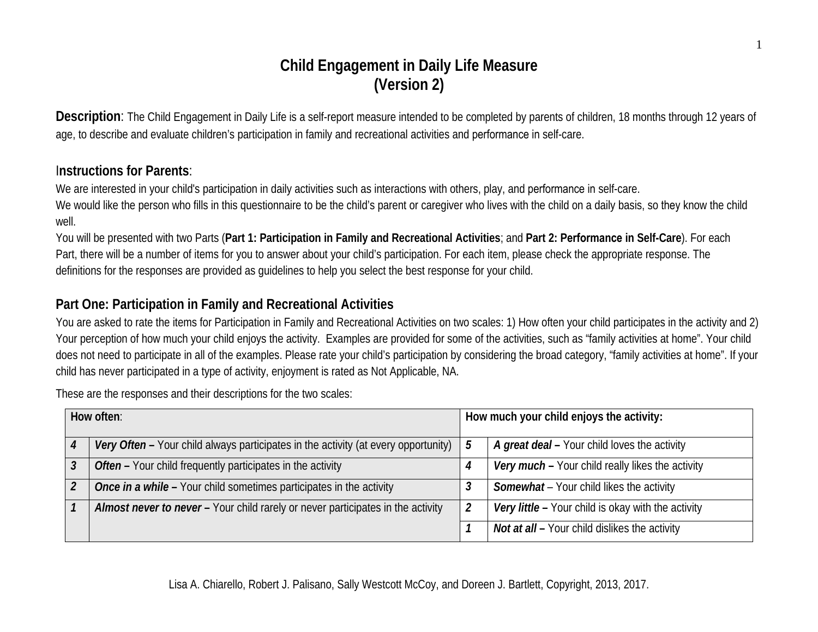# **Child Engagement in Daily Life Measure (Version 2)**

**Description**: The Child Engagement in Daily Life is a self-report measure intended to be completed by parents of children, 18 months through 12 years of age, to describe and evaluate children's participation in family and recreational activities and performance in self-care.

## I**nstructions for Parents**:

We are interested in your child's participation in daily activities such as interactions with others, play, and performance in self-care.

We would like the person who fills in this questionnaire to be the child's parent or caregiver who lives with the child on a daily basis, so they know the child well.

You will be presented with two Parts (**Part 1: Participation in Family and Recreational Activities**; and **Part 2: Performance in Self-Care**). For each Part, there will be a number of items for you to answer about your child's participation. For each item, please check the appropriate response. The definitions for the responses are provided as guidelines to help you select the best response for your child.

# **Part One: Participation in Family and Recreational Activities**

You are asked to rate the items for Participation in Family and Recreational Activities on two scales: 1) How often your child participates in the activity and 2) Your perception of how much your child enjoys the activity. Examples are provided for some of the activities, such as "family activities at home". Your child does not need to participate in all of the examples. Please rate your child's participation by considering the broad category, "family activities at home". If your child has never participated in a type of activity, enjoyment is rated as Not Applicable, NA.

**How often**: **How much your child enjoys the activity:** *Very Often* **–** Your child always participates in the activity (at every opportunity) *5 A great deal* **–** Your child loves the activity *Often* **–** Your child frequently participates in the activity *4 Very much* **–** Your child really likes the activity *Once in a while* – Your child sometimes participates in the activity **3 Somewhat** – Your child likes the activity *Almost never to never* **–** Your child rarely or never participates in the activity *2 Very little* **–** Your child is okay with the activity *Not at all* **–** Your child dislikes the activity

These are the responses and their descriptions for the two scales: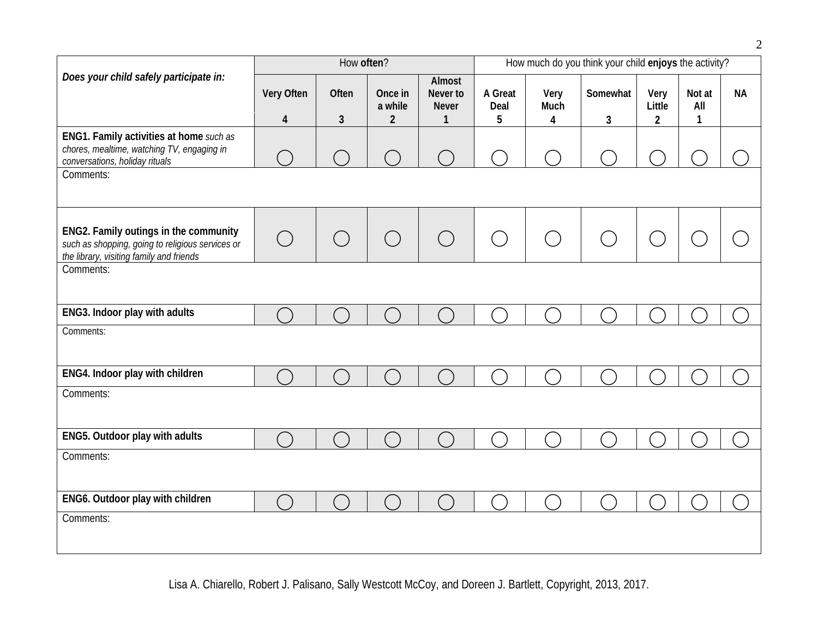|                                                                                                                                       |            | How often?             |                    |                                                    | How much do you think your child enjoys the activity? |              |          |                |               |           |
|---------------------------------------------------------------------------------------------------------------------------------------|------------|------------------------|--------------------|----------------------------------------------------|-------------------------------------------------------|--------------|----------|----------------|---------------|-----------|
| Does your child safely participate in:                                                                                                | Very Often | Often                  | Once in<br>a while | Almost<br>Never to<br><b>Never</b><br>$\mathbf{1}$ | A Great<br>Deal                                       | Very<br>Much | Somewhat | Very<br>Little | Not at<br>All | <b>NA</b> |
|                                                                                                                                       | 4          | 3                      | $\overline{2}$     |                                                    | 5                                                     | 4            | 3        | $\overline{2}$ | $\mathbf{1}$  |           |
| ENG1. Family activities at home such as<br>chores, mealtime, watching TV, engaging in<br>conversations, holiday rituals               |            |                        |                    |                                                    |                                                       |              |          |                |               |           |
| Comments:                                                                                                                             |            |                        |                    |                                                    |                                                       |              |          |                |               |           |
| ENG2. Family outings in the community<br>such as shopping, going to religious services or<br>the library, visiting family and friends | $\bigcirc$ | $\bigcirc$             | $\bigcirc$         |                                                    |                                                       |              |          |                |               |           |
| Comments:                                                                                                                             |            |                        |                    |                                                    |                                                       |              |          |                |               |           |
| ENG3. Indoor play with adults                                                                                                         |            |                        |                    |                                                    |                                                       |              |          |                |               |           |
| Comments:                                                                                                                             |            |                        |                    |                                                    |                                                       |              |          |                |               |           |
| ENG4. Indoor play with children                                                                                                       | $\subset$  | $\left( \quad \right)$ |                    |                                                    |                                                       |              |          |                |               |           |
| Comments:                                                                                                                             |            |                        |                    |                                                    |                                                       |              |          |                |               |           |
| ENG5. Outdoor play with adults                                                                                                        |            |                        |                    |                                                    |                                                       |              |          |                |               |           |
| Comments:                                                                                                                             |            |                        |                    |                                                    |                                                       |              |          |                |               |           |
| ENG6. Outdoor play with children                                                                                                      |            |                        |                    |                                                    |                                                       |              |          |                |               |           |
| Comments:                                                                                                                             |            |                        |                    |                                                    |                                                       |              |          |                |               |           |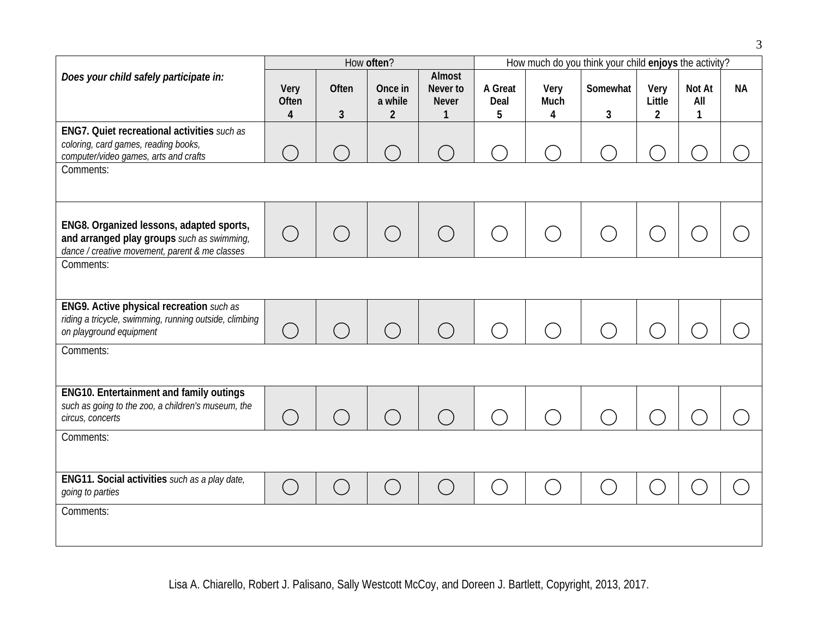|                                                                                                                                          |                                               |                                             | How often?                           |                                                    | How much do you think your child enjoys the activity? |                                                 |                |                                               |                    |           |  |
|------------------------------------------------------------------------------------------------------------------------------------------|-----------------------------------------------|---------------------------------------------|--------------------------------------|----------------------------------------------------|-------------------------------------------------------|-------------------------------------------------|----------------|-----------------------------------------------|--------------------|-----------|--|
| Does your child safely participate in:                                                                                                   | Very<br>Often<br>4                            | Often<br>3                                  | Once in<br>a while<br>$\overline{2}$ | Almost<br>Never to<br><b>Never</b><br>$\mathbf{1}$ | A Great<br>Deal<br>5                                  | Very<br>Much<br>4                               | Somewhat<br>3  | Very<br>Little<br>$\overline{2}$              | Not At<br>All<br>1 | <b>NA</b> |  |
| ENG7. Quiet recreational activities such as<br>coloring, card games, reading books,<br>computer/video games, arts and crafts             |                                               |                                             |                                      |                                                    |                                                       |                                                 |                |                                               |                    |           |  |
| Comments:                                                                                                                                |                                               |                                             |                                      |                                                    |                                                       |                                                 |                |                                               |                    |           |  |
| ENG8. Organized lessons, adapted sports,<br>and arranged play groups such as swimming,<br>dance / creative movement, parent & me classes |                                               | ( )                                         | $\bigcirc$                           |                                                    | $\begin{pmatrix} 1 & 1 \\ 1 & 1 \end{pmatrix}$        | $($ )                                           |                | $\left( \begin{array}{c} \end{array} \right)$ |                    |           |  |
| Comments:                                                                                                                                |                                               |                                             |                                      |                                                    |                                                       |                                                 |                |                                               |                    |           |  |
| ENG9. Active physical recreation such as<br>riding a tricycle, swimming, running outside, climbing<br>on playground equipment            | $(\ )$                                        | $\left(\begin{array}{c} \end{array}\right)$ | $\bigcap$                            | $( \ )$                                            |                                                       | $\left( \begin{array}{c} 1 \end{array} \right)$ |                |                                               |                    |           |  |
| Comments:                                                                                                                                |                                               |                                             |                                      |                                                    |                                                       |                                                 |                |                                               |                    |           |  |
| <b>ENG10. Entertainment and family outings</b><br>such as going to the zoo, a children's museum, the<br>circus, concerts                 |                                               | $( \ )$                                     | $\bigcirc$                           | $\left(\begin{array}{c}\right)$                    | $(\quad)$                                             | $\left(\begin{array}{c} \end{array}\right)$     |                |                                               |                    |           |  |
| Comments:                                                                                                                                |                                               |                                             |                                      |                                                    |                                                       |                                                 |                |                                               |                    |           |  |
| <b>ENG11. Social activities</b> such as a play date,<br>going to parties                                                                 | $\left( \begin{array}{c} \end{array} \right)$ |                                             | $\mathcal{L}_{\mathcal{A}}$          |                                                    |                                                       | $\overline{a}$                                  | $\mathbb{R}^n$ | in.<br>Ma                                     |                    |           |  |
| Comments:                                                                                                                                |                                               |                                             |                                      |                                                    |                                                       |                                                 |                |                                               |                    |           |  |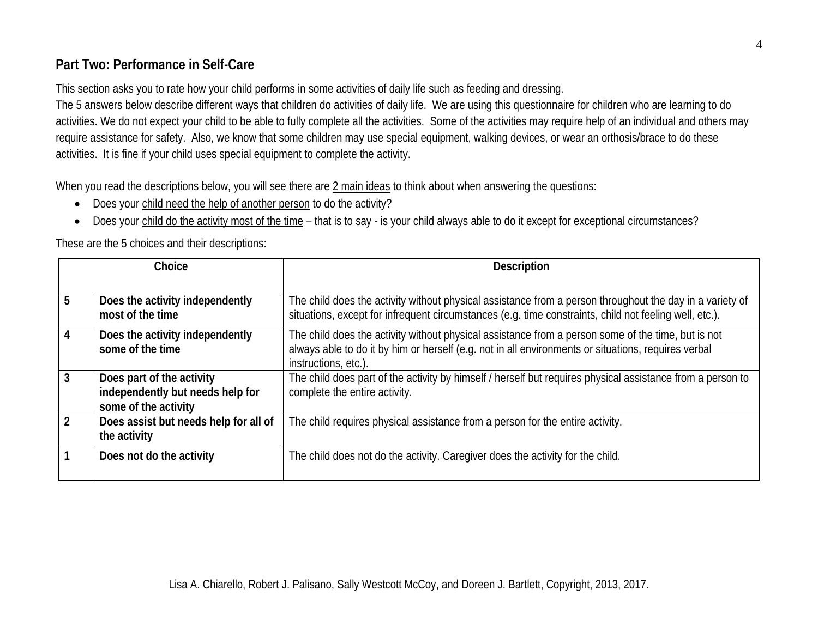# **Part Two: Performance in Self-Care**

This section asks you to rate how your child performs in some activities of daily life such as feeding and dressing.

The 5 answers below describe different ways that children do activities of daily life. We are using this questionnaire for children who are learning to do activities. We do not expect your child to be able to fully complete all the activities. Some of the activities may require help of an individual and others may require assistance for safety. Also, we know that some children may use special equipment, walking devices, or wear an orthosis/brace to do these activities. It is fine if your child uses special equipment to complete the activity.

When you read the descriptions below, you will see there are 2 main ideas to think about when answering the questions:

- Does your child need the help of another person to do the activity?
- Does your child do the activity most of the time that is to say is your child always able to do it except for exceptional circumstances?

These are the 5 choices and their descriptions:

|   | Choice                                                                                | <b>Description</b>                                                                                                                                                                                                                |
|---|---------------------------------------------------------------------------------------|-----------------------------------------------------------------------------------------------------------------------------------------------------------------------------------------------------------------------------------|
| 5 | Does the activity independently<br>most of the time                                   | The child does the activity without physical assistance from a person throughout the day in a variety of<br>situations, except for infrequent circumstances (e.g. time constraints, child not feeling well, etc.).                |
|   | Does the activity independently<br>some of the time                                   | The child does the activity without physical assistance from a person some of the time, but is not<br>always able to do it by him or herself (e.g. not in all environments or situations, requires verbal<br>instructions, etc.). |
|   | Does part of the activity<br>independently but needs help for<br>some of the activity | The child does part of the activity by himself / herself but requires physical assistance from a person to<br>complete the entire activity.                                                                                       |
|   | Does assist but needs help for all of<br>the activity                                 | The child requires physical assistance from a person for the entire activity.                                                                                                                                                     |
|   | Does not do the activity                                                              | The child does not do the activity. Caregiver does the activity for the child.                                                                                                                                                    |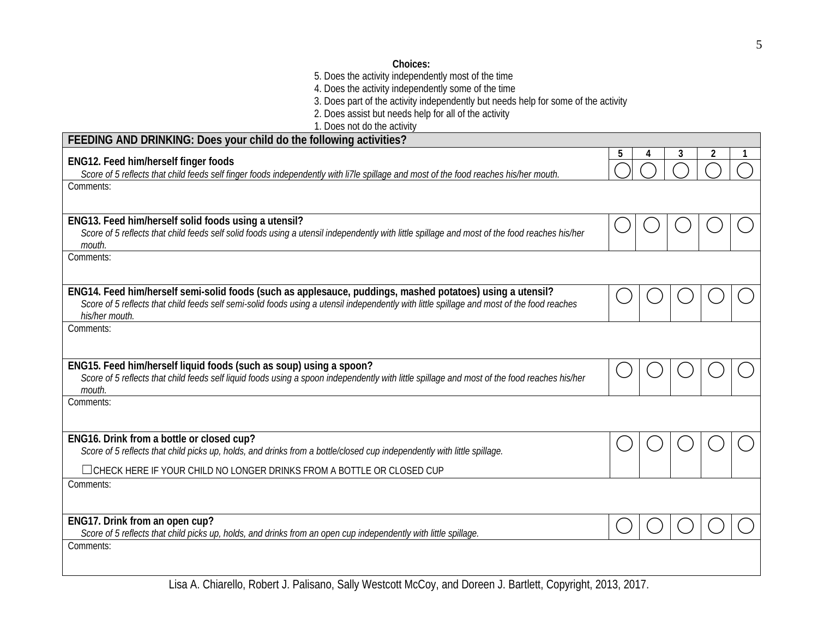#### **Choices:**

5. Does the activity independently most of the time

4. Does the activity independently some of the time

3. Does part of the activity independently but needs help for some of the activity

2. Does assist but needs help for all of the activity

1. Does not do the activity

| ENG12. Feed him/herself finger foods                                                                                                                                                                                                                                      | 5 | 3 |  |
|---------------------------------------------------------------------------------------------------------------------------------------------------------------------------------------------------------------------------------------------------------------------------|---|---|--|
| Score of 5 reflects that child feeds self finger foods independently with li7le spillage and most of the food reaches his/her mouth.                                                                                                                                      |   |   |  |
| Comments:                                                                                                                                                                                                                                                                 |   |   |  |
| ENG13. Feed him/herself solid foods using a utensil?<br>Score of 5 reflects that child feeds self solid foods using a utensil independently with little spillage and most of the food reaches his/her<br>mouth.                                                           |   |   |  |
| Comments:                                                                                                                                                                                                                                                                 |   |   |  |
| ENG14. Feed him/herself semi-solid foods (such as applesauce, puddings, mashed potatoes) using a utensil?<br>Score of 5 reflects that child feeds self semi-solid foods using a utensil independently with little spillage and most of the food reaches<br>his/her mouth. |   |   |  |
| Comments:                                                                                                                                                                                                                                                                 |   |   |  |
| ENG15. Feed him/herself liquid foods (such as soup) using a spoon?<br>Score of 5 reflects that child feeds self liquid foods using a spoon independently with little spillage and most of the food reaches his/her<br>mouth.                                              |   |   |  |
| Comments:                                                                                                                                                                                                                                                                 |   |   |  |
| ENG16. Drink from a bottle or closed cup?<br>Score of 5 reflects that child picks up, holds, and drinks from a bottle/closed cup independently with little spillage.                                                                                                      |   |   |  |
| $\Box$ CHECK HERE IF YOUR CHILD NO LONGER DRINKS FROM A BOTTLE OR CLOSED CUP                                                                                                                                                                                              |   |   |  |
| Comments:                                                                                                                                                                                                                                                                 |   |   |  |
| ENG17. Drink from an open cup?<br>Score of 5 reflects that child picks up, holds, and drinks from an open cup independently with little spillage.                                                                                                                         |   |   |  |
| Comments:                                                                                                                                                                                                                                                                 |   |   |  |

Lisa A. Chiarello, Robert J. Palisano, Sally Westcott McCoy, and Doreen J. Bartlett, Copyright, 2013, 2017.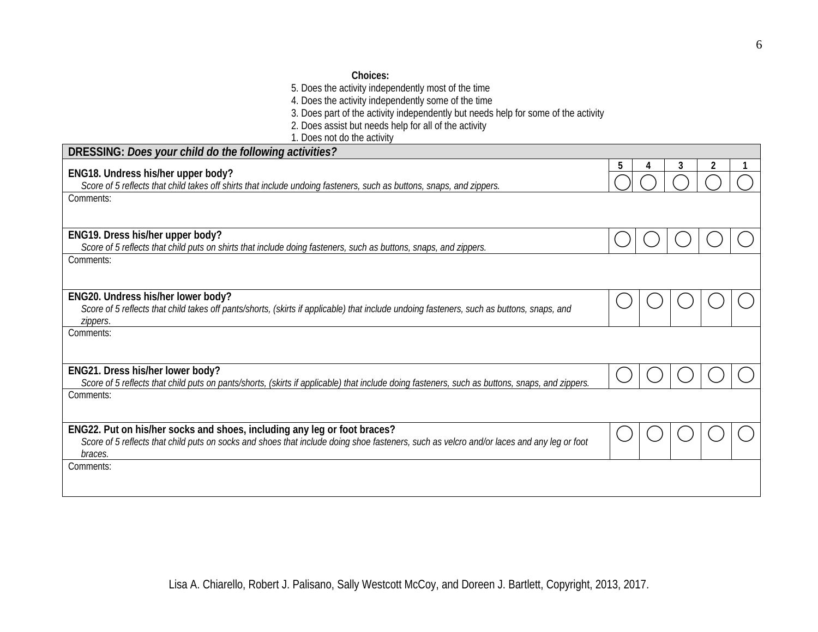- 5. Does the activity independently most of the time
- 4. Does the activity independently some of the time
- 3. Does part of the activity independently but needs help for some of the activity
- 2. Does assist but needs help for all of the activity
- 1. Does not do the activity

| DRESSING: Does your child do the following activities?                                                                                                                                                                           |   |   |  |
|----------------------------------------------------------------------------------------------------------------------------------------------------------------------------------------------------------------------------------|---|---|--|
| ENG18. Undress his/her upper body?                                                                                                                                                                                               | 5 | 3 |  |
| Score of 5 reflects that child takes off shirts that include undoing fasteners, such as buttons, snaps, and zippers.                                                                                                             |   |   |  |
| Comments:                                                                                                                                                                                                                        |   |   |  |
| ENG19. Dress his/her upper body?                                                                                                                                                                                                 |   |   |  |
| Score of 5 reflects that child puts on shirts that include doing fasteners, such as buttons, snaps, and zippers.                                                                                                                 |   |   |  |
| Comments:                                                                                                                                                                                                                        |   |   |  |
| ENG20. Undress his/her lower body?<br>Score of 5 reflects that child takes off pants/shorts, (skirts if applicable) that include undoing fasteners, such as buttons, snaps, and<br>zippers.                                      |   |   |  |
| Comments:                                                                                                                                                                                                                        |   |   |  |
| ENG21. Dress his/her lower body?<br>Score of 5 reflects that child puts on pants/shorts, (skirts if applicable) that include doing fasteners, such as buttons, snaps, and zippers.                                               |   |   |  |
| Comments:                                                                                                                                                                                                                        |   |   |  |
| ENG22. Put on his/her socks and shoes, including any leg or foot braces?<br>Score of 5 reflects that child puts on socks and shoes that include doing shoe fasteners, such as velcro and/or laces and any leg or foot<br>braces. |   |   |  |
| Comments:                                                                                                                                                                                                                        |   |   |  |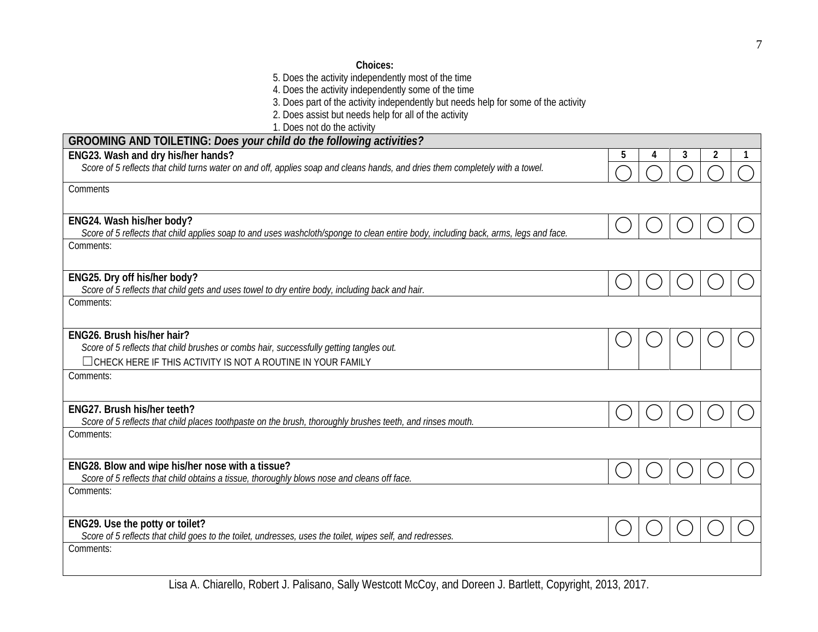### **Choices:**

5. Does the activity independently most of the time

4. Does the activity independently some of the time

3. Does part of the activity independently but needs help for some of the activity

2. Does assist but needs help for all of the activity

1. Does not do the activity

| GROOMING AND TOILETING: Does your child do the following activities?                                                                             |   |   |  |
|--------------------------------------------------------------------------------------------------------------------------------------------------|---|---|--|
| ENG23. Wash and dry his/her hands?                                                                                                               | 5 | 3 |  |
| Score of 5 reflects that child turns water on and off, applies soap and cleans hands, and dries them completely with a towel.                    |   |   |  |
| Comments                                                                                                                                         |   |   |  |
|                                                                                                                                                  |   |   |  |
| ENG24. Wash his/her body?                                                                                                                        |   |   |  |
| Score of 5 reflects that child applies soap to and uses washcloth/sponge to clean entire body, including back, arms, legs and face.<br>Comments: |   |   |  |
|                                                                                                                                                  |   |   |  |
| ENG25. Dry off his/her body?                                                                                                                     |   |   |  |
| Score of 5 reflects that child gets and uses towel to dry entire body, including back and hair.<br>Comments:                                     |   |   |  |
|                                                                                                                                                  |   |   |  |
| ENG26. Brush his/her hair?                                                                                                                       |   |   |  |
| Score of 5 reflects that child brushes or combs hair, successfully getting tangles out.                                                          |   |   |  |
| $\Box$ CHECK HERE IF THIS ACTIVITY IS NOT A ROUTINE IN YOUR FAMILY                                                                               |   |   |  |
| Comments:                                                                                                                                        |   |   |  |
| ENG27. Brush his/her teeth?                                                                                                                      |   |   |  |
| Score of 5 reflects that child places toothpaste on the brush, thoroughly brushes teeth, and rinses mouth.                                       |   |   |  |
| Comments:                                                                                                                                        |   |   |  |
| ENG28. Blow and wipe his/her nose with a tissue?                                                                                                 |   |   |  |
| Score of 5 reflects that child obtains a tissue, thoroughly blows nose and cleans off face.                                                      |   |   |  |
| Comments:                                                                                                                                        |   |   |  |
|                                                                                                                                                  |   |   |  |
| ENG29. Use the potty or toilet?<br>Score of 5 reflects that child goes to the toilet, undresses, uses the toilet, wipes self, and redresses.     |   |   |  |
| Comments:                                                                                                                                        |   |   |  |
|                                                                                                                                                  |   |   |  |
|                                                                                                                                                  |   |   |  |

Lisa A. Chiarello, Robert J. Palisano, Sally Westcott McCoy, and Doreen J. Bartlett, Copyright, 2013, 2017.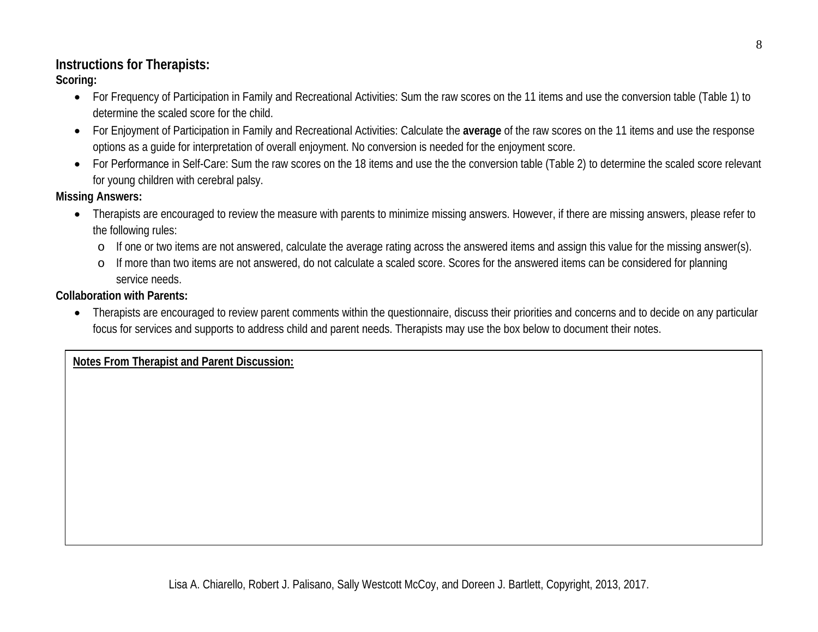## **Instructions for Therapists:**

**Scoring:** 

- For Frequency of Participation in Family and Recreational Activities: Sum the raw scores on the 11 items and use the conversion table (Table 1) to determine the scaled score for the child.
- For Enjoyment of Participation in Family and Recreational Activities: Calculate the **average** of the raw scores on the 11 items and use the response options as a guide for interpretation of overall enjoyment. No conversion is needed for the enjoyment score.
- For Performance in Self-Care: Sum the raw scores on the 18 items and use the the conversion table (Table 2) to determine the scaled score relevant for young children with cerebral palsy.

**Missing Answers:**

- Therapists are encouraged to review the measure with parents to minimize missing answers. However, if there are missing answers, please refer to the following rules:
	- o If one or two items are not answered, calculate the average rating across the answered items and assign this value for the missing answer(s).
	- o If more than two items are not answered, do not calculate a scaled score. Scores for the answered items can be considered for planning service needs.

**Collaboration with Parents:** 

• Therapists are encouraged to review parent comments within the questionnaire, discuss their priorities and concerns and to decide on any particular focus for services and supports to address child and parent needs. Therapists may use the box below to document their notes.

**Notes From Therapist and Parent Discussion:**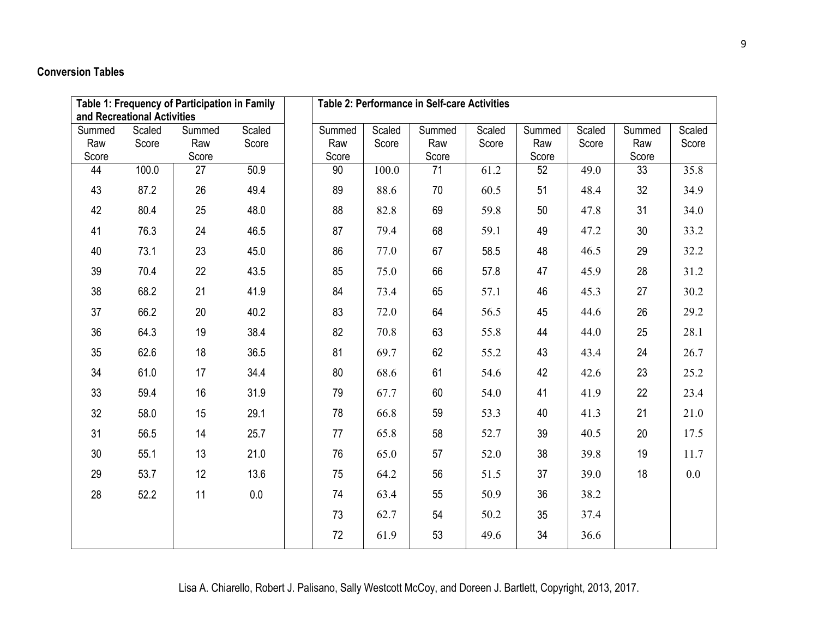### **Conversion Tables**

| Table 1: Frequency of Participation in Family<br>Table 2: Performance in Self-care Activities<br>and Recreational Activities |                 |                        |                 |  |                        |                 |                        |                 |                        |                 |                        |                 |
|------------------------------------------------------------------------------------------------------------------------------|-----------------|------------------------|-----------------|--|------------------------|-----------------|------------------------|-----------------|------------------------|-----------------|------------------------|-----------------|
| Summed<br>Raw<br>Score                                                                                                       | Scaled<br>Score | Summed<br>Raw<br>Score | Scaled<br>Score |  | Summed<br>Raw<br>Score | Scaled<br>Score | Summed<br>Raw<br>Score | Scaled<br>Score | Summed<br>Raw<br>Score | Scaled<br>Score | Summed<br>Raw<br>Score | Scaled<br>Score |
| 44                                                                                                                           | 100.0           | 27                     | 50.9            |  | 90                     | 100.0           | 71                     | 61.2            | 52                     | 49.0            | 33                     | 35.8            |
| 43                                                                                                                           | 87.2            | 26                     | 49.4            |  | 89                     | 88.6            | 70                     | 60.5            | 51                     | 48.4            | 32                     | 34.9            |
| 42                                                                                                                           | 80.4            | 25                     | 48.0            |  | 88                     | 82.8            | 69                     | 59.8            | 50                     | 47.8            | 31                     | 34.0            |
| 41                                                                                                                           | 76.3            | 24                     | 46.5            |  | 87                     | 79.4            | 68                     | 59.1            | 49                     | 47.2            | 30                     | 33.2            |
| 40                                                                                                                           | 73.1            | 23                     | 45.0            |  | 86                     | 77.0            | 67                     | 58.5            | 48                     | 46.5            | 29                     | 32.2            |
| 39                                                                                                                           | 70.4            | 22                     | 43.5            |  | 85                     | 75.0            | 66                     | 57.8            | 47                     | 45.9            | 28                     | 31.2            |
| 38                                                                                                                           | 68.2            | 21                     | 41.9            |  | 84                     | 73.4            | 65                     | 57.1            | 46                     | 45.3            | 27                     | 30.2            |
| 37                                                                                                                           | 66.2            | 20                     | 40.2            |  | 83                     | 72.0            | 64                     | 56.5            | 45                     | 44.6            | 26                     | 29.2            |
| 36                                                                                                                           | 64.3            | 19                     | 38.4            |  | 82                     | 70.8            | 63                     | 55.8            | 44                     | 44.0            | 25                     | 28.1            |
| 35                                                                                                                           | 62.6            | 18                     | 36.5            |  | 81                     | 69.7            | 62                     | 55.2            | 43                     | 43.4            | 24                     | 26.7            |
| 34                                                                                                                           | 61.0            | 17                     | 34.4            |  | 80                     | 68.6            | 61                     | 54.6            | 42                     | 42.6            | 23                     | 25.2            |
| 33                                                                                                                           | 59.4            | 16                     | 31.9            |  | 79                     | 67.7            | 60                     | 54.0            | 41                     | 41.9            | 22                     | 23.4            |
| 32                                                                                                                           | 58.0            | 15                     | 29.1            |  | 78                     | 66.8            | 59                     | 53.3            | 40                     | 41.3            | 21                     | 21.0            |
| 31                                                                                                                           | 56.5            | 14                     | 25.7            |  | 77                     | 65.8            | 58                     | 52.7            | 39                     | 40.5            | 20                     | 17.5            |
| 30                                                                                                                           | 55.1            | 13                     | 21.0            |  | 76                     | 65.0            | 57                     | 52.0            | 38                     | 39.8            | 19                     | 11.7            |
| 29                                                                                                                           | 53.7            | 12                     | 13.6            |  | 75                     | 64.2            | 56                     | 51.5            | 37                     | 39.0            | 18                     | 0.0             |
| 28                                                                                                                           | 52.2            | 11                     | 0.0             |  | 74                     | 63.4            | 55                     | 50.9            | 36                     | 38.2            |                        |                 |
|                                                                                                                              |                 |                        |                 |  | 73                     | 62.7            | 54                     | 50.2            | 35                     | 37.4            |                        |                 |
|                                                                                                                              |                 |                        |                 |  | 72                     | 61.9            | 53                     | 49.6            | 34                     | 36.6            |                        |                 |